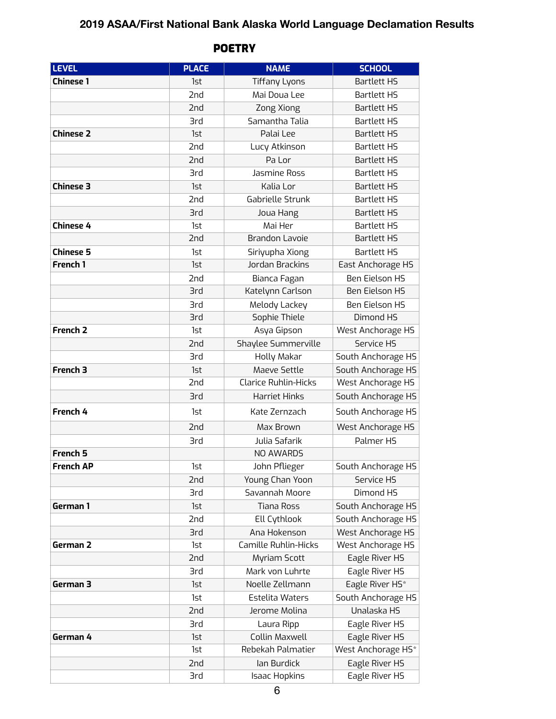## **2019 ASAA/First National Bank Alaska World Language Declamation Results**

| <b>LEVEL</b>        | <b>PLACE</b> | <b>NAME</b>                 | <b>SCHOOL</b>         |
|---------------------|--------------|-----------------------------|-----------------------|
| <b>Chinese 1</b>    | 1st          | <b>Tiffany Lyons</b>        | <b>Bartlett HS</b>    |
|                     | 2nd          | Mai Doua Lee                | <b>Bartlett HS</b>    |
|                     | 2nd          | Zong Xiong                  | <b>Bartlett HS</b>    |
|                     | 3rd          | Samantha Talia              | <b>Bartlett HS</b>    |
| <b>Chinese 2</b>    | 1st          | Palai Lee                   | <b>Bartlett HS</b>    |
|                     | 2nd          | Lucy Atkinson               | <b>Bartlett HS</b>    |
|                     | 2nd          | Pa Lor                      | <b>Bartlett HS</b>    |
|                     | 3rd          | Jasmine Ross                | <b>Bartlett HS</b>    |
| <b>Chinese 3</b>    | 1st          | Kalia Lor                   | <b>Bartlett HS</b>    |
|                     | 2nd          | Gabrielle Strunk            | <b>Bartlett HS</b>    |
|                     | <b>3rd</b>   | Joua Hang                   | <b>Bartlett HS</b>    |
| <b>Chinese 4</b>    | 1st          | Mai Her                     | <b>Bartlett HS</b>    |
|                     | 2nd          | <b>Brandon Lavoie</b>       | <b>Bartlett HS</b>    |
| <b>Chinese 5</b>    | 1st          | Siriyupha Xiong             | <b>Bartlett HS</b>    |
| French 1            | 1st          | Jordan Brackins             | East Anchorage HS     |
|                     | 2nd          | Bianca Fagan                | <b>Ben Eielson HS</b> |
|                     | <b>3rd</b>   | Katelynn Carlson            | <b>Ben Eielson HS</b> |
|                     | <b>3rd</b>   | Melody Lackey               | <b>Ben Eielson HS</b> |
|                     | <b>3rd</b>   | Sophie Thiele               | Dimond HS             |
| French <sub>2</sub> | 1st          | Asya Gipson                 | West Anchorage HS     |
|                     | 2nd          | Shaylee Summerville         | Service HS            |
|                     | <b>3rd</b>   | Holly Makar                 | South Anchorage HS    |
| French 3            | 1st          | Maeve Settle                | South Anchorage HS    |
|                     | 2nd          | <b>Clarice Ruhlin-Hicks</b> | West Anchorage HS     |
|                     | 3rd          | <b>Harriet Hinks</b>        | South Anchorage HS    |
| French 4            | 1st          | Kate Zernzach               | South Anchorage HS    |
|                     | 2nd          | Max Brown                   | West Anchorage HS     |
|                     | <b>3rd</b>   | Julia Safarik               | Palmer HS             |
| French 5            |              | NO AWARDS                   |                       |
| <b>French AP</b>    | 1st          | John Pflieger               | South Anchorage HS    |
|                     | 2nd          | Young Chan Yoon             | Service HS            |
|                     | 3rd          | Savannah Moore              | Dimond HS             |
| German 1            | 1st          | <b>Tiana Ross</b>           | South Anchorage HS    |
|                     | 2nd          | Ell Cythlook                | South Anchorage HS    |
|                     | <b>3rd</b>   | Ana Hokenson                | West Anchorage HS     |
| German 2            | 1st          | Camille Ruhlin-Hicks        | West Anchorage HS     |
|                     | 2nd          | Myriam Scott                | Eagle River HS        |
|                     | <b>3rd</b>   | Mark von Luhrte             | Eagle River HS        |
| German 3            | 1st          | Noelle Zellmann             | Eagle River HS*       |
|                     | 1st          | <b>Estelita Waters</b>      | South Anchorage HS    |
|                     | 2nd          | Jerome Molina               | Unalaska HS           |
|                     | 3rd          | Laura Ripp                  | Eagle River HS        |
| German 4            | 1st          | Collin Maxwell              | Eagle River HS        |
|                     | 1st          | Rebekah Palmatier           | West Anchorage HS*    |
|                     | 2nd          | lan Burdick                 | Eagle River HS        |
|                     | <b>3rd</b>   | <b>Isaac Hopkins</b>        | Eagle River HS        |

## **POETRY**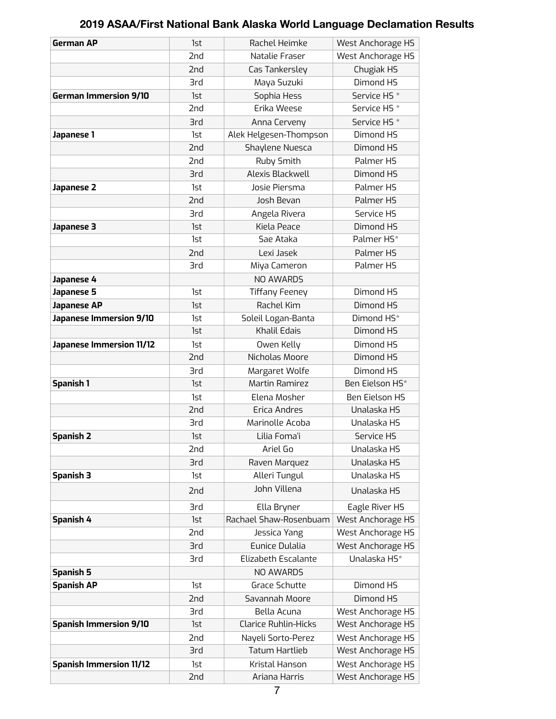## **2019 ASAA/First National Bank Alaska World Language Declamation Results**

| <b>German AP</b>               | 1st             | Rachel Heimke               | West Anchorage HS       |
|--------------------------------|-----------------|-----------------------------|-------------------------|
|                                | 2nd             | Natalie Fraser              | West Anchorage HS       |
|                                | 2nd             | Cas Tankersley              | Chugiak HS              |
|                                | <b>3rd</b>      | Maya Suzuki                 | Dimond HS               |
| <b>German Immersion 9/10</b>   | 1st             | Sophia Hess                 | Service HS <sup>*</sup> |
|                                | 2nd             | Erika Weese                 | Service HS <sup>*</sup> |
|                                | 3rd             | Anna Cerveny                | Service HS <sup>*</sup> |
| Japanese 1                     | 1st             | Alek Helgesen-Thompson      | Dimond HS               |
|                                | 2nd             | Shaylene Nuesca             | Dimond HS               |
|                                | 2 <sub>nd</sub> | Ruby Smith                  | Palmer HS               |
|                                | <b>3rd</b>      | Alexis Blackwell            | Dimond HS               |
| Japanese 2                     | 1st             | Josie Piersma               | Palmer HS               |
|                                | 2nd             | Josh Bevan                  | Palmer HS               |
|                                | <b>3rd</b>      | Angela Rivera               | Service HS              |
| Japanese 3                     | 1st             | Kiela Peace                 | Dimond HS               |
|                                | 1st             | Sae Ataka                   | Palmer HS*              |
|                                | 2nd             | Lexi Jasek                  | Palmer HS               |
|                                | 3rd             | Miya Cameron                | Palmer HS               |
| Japanese 4                     |                 | NO AWARDS                   |                         |
| Japanese 5                     | 1st             | <b>Tiffany Feeney</b>       | Dimond HS               |
| <b>Japanese AP</b>             | 1st             | Rachel Kim                  | Dimond HS               |
| Japanese Immersion 9/10        | 1st             | Soleil Logan-Banta          | Dimond HS*              |
|                                | 1st             | Khalil Edais                | Dimond HS               |
| Japanese Immersion 11/12       | 1st             | Owen Kelly                  | Dimond HS               |
|                                | 2nd             | Nicholas Moore              | Dimond HS               |
|                                | 3rd             | Margaret Wolfe              | Dimond HS               |
| <b>Spanish 1</b>               | 1st             | <b>Martin Ramirez</b>       | Ben Eielson HS*         |
|                                | 1st             | Elena Mosher                | <b>Ben Eielson HS</b>   |
|                                | 2nd             | Erica Andres                | Unalaska HS             |
|                                | <b>3rd</b>      | Marinolle Acoba             | Unalaska HS             |
| <b>Spanish 2</b>               | 1st             | Lilia Foma'i                | Service HS              |
|                                | 2nd             | Ariel Go                    | Unalaska HS             |
|                                | 3rd             | Raven Marquez               | Unalaska HS             |
| <b>Spanish 3</b>               | 1st             | Alleri Tungul               | Unalaska HS             |
|                                | 2nd             | John Villena                | Unalaska HS             |
|                                | <b>3rd</b>      | Ella Bryner                 | Eagle River HS          |
| Spanish 4                      | 1st             | Rachael Shaw-Rosenbuam      | West Anchorage HS       |
|                                | 2nd             | Jessica Yang                | West Anchorage HS       |
|                                | 3rd             | Eunice Dulalia              | West Anchorage HS       |
|                                | 3rd             | Elizabeth Escalante         | Unalaska HS*            |
| <b>Spanish 5</b>               |                 | NO AWARDS                   |                         |
| <b>Spanish AP</b>              | 1st             | Grace Schutte               | Dimond HS               |
|                                | 2nd             | Savannah Moore              | Dimond HS               |
|                                | 3rd             | Bella Acuna                 | West Anchorage HS       |
| <b>Spanish Immersion 9/10</b>  | 1st             | <b>Clarice Ruhlin-Hicks</b> | West Anchorage HS       |
|                                | 2nd             | Nayeli Sorto-Perez          | West Anchorage HS       |
|                                | 3rd             | <b>Tatum Hartlieb</b>       | West Anchorage HS       |
| <b>Spanish Immersion 11/12</b> | 1st             | Kristal Hanson              | West Anchorage HS       |
|                                | 2nd             | Ariana Harris               | West Anchorage HS       |